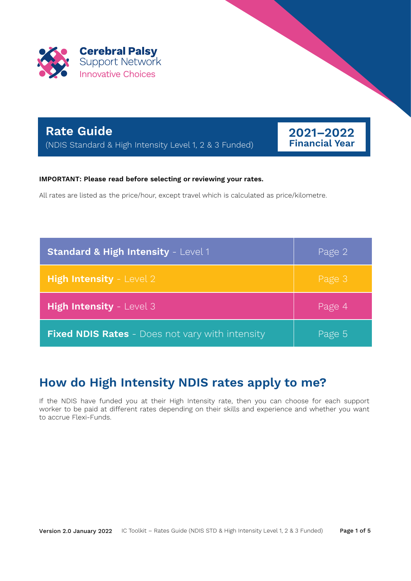

### **Rate Guide**

(NDIS Standard & High Intensity Level 1, 2 & 3 Funded)

**2021–2022 Financial Year**

#### **IMPORTANT: Please read before selecting or reviewing your rates.**

All rates are listed as the price/hour, except travel which is calculated as price/kilometre.

| <b>Standard &amp; High Intensity - Level 1</b>         | Page 2 |
|--------------------------------------------------------|--------|
| <b>High Intensity - Level 2</b>                        | Page 3 |
| High Intensity - Level 3                               | Page 4 |
| <b>Fixed NDIS Rates</b> - Does not vary with intensity | Page 5 |

#### **How do High Intensity NDIS rates apply to me?**

If the NDIS have funded you at their High Intensity rate, then you can choose for each support worker to be paid at different rates depending on their skills and experience and whether you want to accrue Flexi-Funds.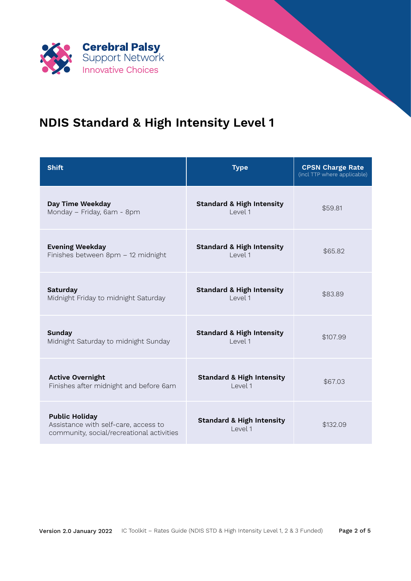

# **NDIS Standard & High Intensity Level 1**

| <b>Shift</b>                                                                                               | <b>Type</b>                                      | <b>CPSN Charge Rate</b><br>(incl TTP where applicable) |
|------------------------------------------------------------------------------------------------------------|--------------------------------------------------|--------------------------------------------------------|
| Day Time Weekday<br>Monday - Friday, 6am - 8pm                                                             | <b>Standard &amp; High Intensity</b><br>Level 1  | \$59.81                                                |
| <b>Evening Weekday</b><br>Finishes between 8pm - 12 midnight                                               | <b>Standard &amp; High Intensity</b><br>I evel 1 | \$65.82                                                |
| <b>Saturday</b><br>Midnight Friday to midnight Saturday                                                    | <b>Standard &amp; High Intensity</b><br>Level 1  | \$83.89                                                |
| <b>Sunday</b><br>Midnight Saturday to midnight Sunday                                                      | <b>Standard &amp; High Intensity</b><br>I evel 1 | \$107.99                                               |
| <b>Active Overnight</b><br>Finishes after midnight and before 6am                                          | <b>Standard &amp; High Intensity</b><br>Level 1  | \$67.03                                                |
| <b>Public Holiday</b><br>Assistance with self-care, access to<br>community, social/recreational activities | <b>Standard &amp; High Intensity</b><br>I evel 1 | \$132.09                                               |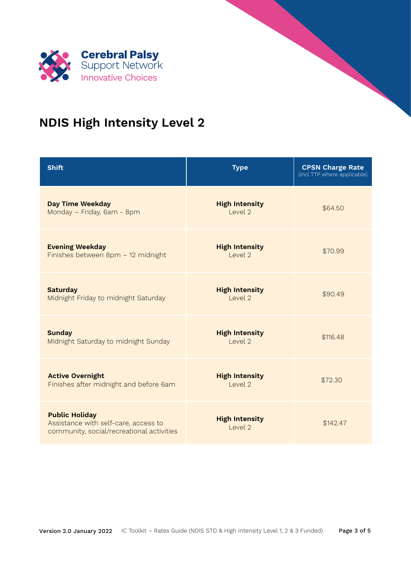

# **NDIS High Intensity Level 2**

| <b>Shift</b>                                                                                               | <b>Type</b>                      | <b>CPSN Charge Rate</b><br>(incl TTP where applicable) |
|------------------------------------------------------------------------------------------------------------|----------------------------------|--------------------------------------------------------|
| <b>Day Time Weekday</b><br>Monday - Friday, 6am - 8pm                                                      | <b>High Intensity</b><br>Level 2 | \$64.50                                                |
| <b>Evening Weekday</b><br>Finishes between 8pm - 12 midnight                                               | <b>High Intensity</b><br>Level 2 | \$70.99                                                |
| <b>Saturday</b><br>Midnight Friday to midnight Saturday                                                    | <b>High Intensity</b><br>Level 2 | \$90.49                                                |
| <b>Sunday</b><br>Midnight Saturday to midnight Sunday                                                      | <b>High Intensity</b><br>Level 2 | \$116.48                                               |
| <b>Active Overnight</b><br>Finishes after midnight and before 6am                                          | <b>High Intensity</b><br>Level 2 | \$72.30                                                |
| <b>Public Holiday</b><br>Assistance with self-care, access to<br>community, social/recreational activities | <b>High Intensity</b><br>Level 2 | \$142.47                                               |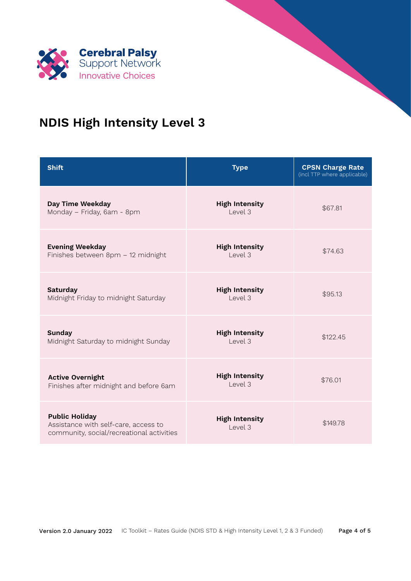

# **NDIS High Intensity Level 3**

| <b>Shift</b>                                                                                               | <b>Type</b>                      | <b>CPSN Charge Rate</b><br>(incl TTP where applicable) |
|------------------------------------------------------------------------------------------------------------|----------------------------------|--------------------------------------------------------|
| Day Time Weekday<br>Monday - Friday, 6am - 8pm                                                             | <b>High Intensity</b><br>Level 3 | \$67.81                                                |
| <b>Evening Weekday</b><br>Finishes between 8pm - 12 midnight                                               | <b>High Intensity</b><br>Level 3 | \$74.63                                                |
| <b>Saturday</b><br>Midnight Friday to midnight Saturday                                                    | <b>High Intensity</b><br>Level 3 | \$95.13                                                |
| <b>Sunday</b><br>Midnight Saturday to midnight Sunday                                                      | <b>High Intensity</b><br>Level 3 | \$122.45                                               |
| <b>Active Overnight</b><br>Finishes after midnight and before 6am                                          | <b>High Intensity</b><br>Level 3 | \$76.01                                                |
| <b>Public Holiday</b><br>Assistance with self-care, access to<br>community, social/recreational activities | <b>High Intensity</b><br>Level 3 | \$149.78                                               |